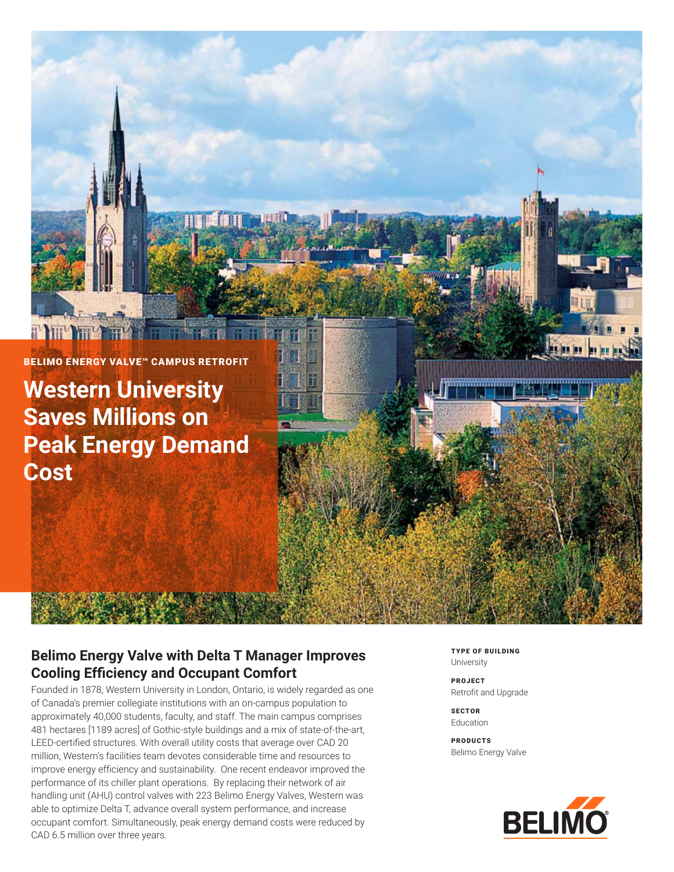

**Western University Saves Millions on Peak Energy Demand Cost**

### **Belimo Energy Valve with Delta T Manager Improves Cooling Efficiency and Occupant Comfort**

**HUTCH THE** 

Founded in 1878, Western University in London, Ontario, is widely regarded as one of Canada's premier collegiate institutions with an on-campus population to approximately 40,000 students, faculty, and staff. The main campus comprises 481 hectares [1189 acres] of Gothic-style buildings and a mix of state-of-the-art, LEED-certified structures. With overall utility costs that average over CAD 20 million, Western's facilities team devotes considerable time and resources to improve energy efficiency and sustainability. One recent endeavor improved the performance of its chiller plant operations. By replacing their network of air handling unit (AHU) control valves with 223 Belimo Energy Valves, Western was able to optimize Delta T, advance overall system performance, and increase occupant comfort. Simultaneously, peak energy demand costs were reduced by CAD 6.5 million over three years.

TYPE OF BUILDING University

PROJECT Retrofit and Upgrade

**SECTOR** Education

PRODUCTS Belimo Energy Valve

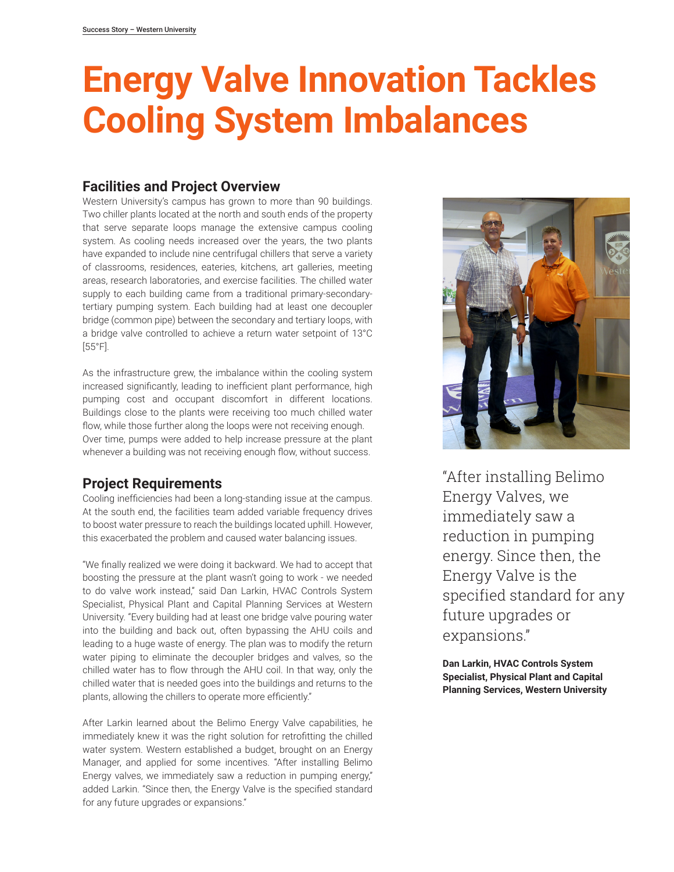# **Energy Valve Innovation Tackles Cooling System Imbalances**

#### **Facilities and Project Overview**

Western University's campus has grown to more than 90 buildings. Two chiller plants located at the north and south ends of the property that serve separate loops manage the extensive campus cooling system. As cooling needs increased over the years, the two plants have expanded to include nine centrifugal chillers that serve a variety of classrooms, residences, eateries, kitchens, art galleries, meeting areas, research laboratories, and exercise facilities. The chilled water supply to each building came from a traditional primary-secondarytertiary pumping system. Each building had at least one decoupler bridge (common pipe) between the secondary and tertiary loops, with a bridge valve controlled to achieve a return water setpoint of 13°C [55°F].

As the infrastructure grew, the imbalance within the cooling system increased significantly, leading to inefficient plant performance, high pumping cost and occupant discomfort in different locations. Buildings close to the plants were receiving too much chilled water flow, while those further along the loops were not receiving enough. Over time, pumps were added to help increase pressure at the plant whenever a building was not receiving enough flow, without success.

### **Project Requirements**

Cooling inefficiencies had been a long-standing issue at the campus. At the south end, the facilities team added variable frequency drives to boost water pressure to reach the buildings located uphill. However, this exacerbated the problem and caused water balancing issues.

"We finally realized we were doing it backward. We had to accept that boosting the pressure at the plant wasn't going to work - we needed to do valve work instead," said Dan Larkin, HVAC Controls System Specialist, Physical Plant and Capital Planning Services at Western University. "Every building had at least one bridge valve pouring water into the building and back out, often bypassing the AHU coils and leading to a huge waste of energy. The plan was to modify the return water piping to eliminate the decoupler bridges and valves, so the chilled water has to flow through the AHU coil. In that way, only the chilled water that is needed goes into the buildings and returns to the plants, allowing the chillers to operate more efficiently."

After Larkin learned about the Belimo Energy Valve capabilities, he immediately knew it was the right solution for retrofitting the chilled water system. Western established a budget, brought on an Energy Manager, and applied for some incentives. "After installing Belimo Energy valves, we immediately saw a reduction in pumping energy," added Larkin. "Since then, the Energy Valve is the specified standard for any future upgrades or expansions."



"After installing Belimo Energy Valves, we immediately saw a reduction in pumping energy. Since then, the Energy Valve is the specified standard for any future upgrades or expansions."

**Dan Larkin, HVAC Controls System Specialist, Physical Plant and Capital Planning Services, Western University**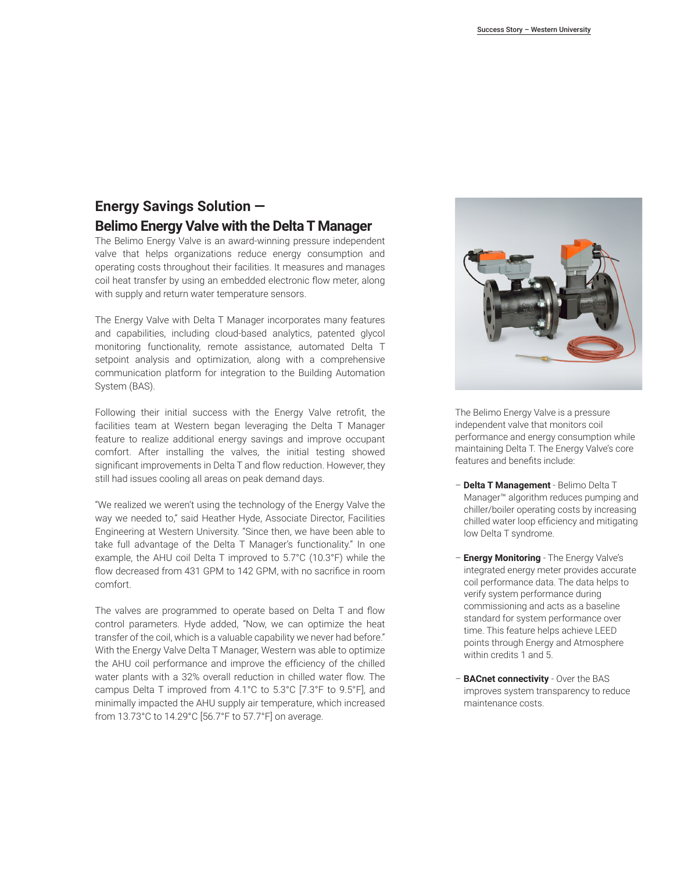#### **Energy Savings Solution — Belimo Energy Valve with the Delta T Manager**

The Belimo Energy Valve is an award-winning pressure independent valve that helps organizations reduce energy consumption and operating costs throughout their facilities. It measures and manages coil heat transfer by using an embedded electronic flow meter, along with supply and return water temperature sensors.

The Energy Valve with Delta T Manager incorporates many features and capabilities, including cloud-based analytics, patented glycol monitoring functionality, remote assistance, automated Delta T setpoint analysis and optimization, along with a comprehensive communication platform for integration to the Building Automation System (BAS).

Following their initial success with the Energy Valve retrofit, the facilities team at Western began leveraging the Delta T Manager feature to realize additional energy savings and improve occupant comfort. After installing the valves, the initial testing showed significant improvements in Delta T and flow reduction. However, they still had issues cooling all areas on peak demand days.

"We realized we weren't using the technology of the Energy Valve the way we needed to," said Heather Hyde, Associate Director, Facilities Engineering at Western University. "Since then, we have been able to take full advantage of the Delta T Manager's functionality." In one example, the AHU coil Delta T improved to 5.7°C (10.3°F) while the flow decreased from 431 GPM to 142 GPM, with no sacrifice in room comfort.

The valves are programmed to operate based on Delta T and flow control parameters. Hyde added, "Now, we can optimize the heat transfer of the coil, which is a valuable capability we never had before." With the Energy Valve Delta T Manager, Western was able to optimize the AHU coil performance and improve the efficiency of the chilled water plants with a 32% overall reduction in chilled water flow. The campus Delta T improved from 4.1°C to 5.3°C [7.3°F to 9.5°F], and minimally impacted the AHU supply air temperature, which increased from 13.73°C to 14.29°C [56.7°F to 57.7°F] on average.



The Belimo Energy Valve is a pressure independent valve that monitors coil performance and energy consumption while maintaining Delta T. The Energy Valve's core features and benefits include:

- **Delta T Management** Belimo Delta T Manager™ algorithm reduces pumping and chiller/boiler operating costs by increasing chilled water loop efficiency and mitigating low Delta T syndrome.
- **Energy Monitoring**  The Energy Valve's integrated energy meter provides accurate coil performance data. The data helps to verify system performance during commissioning and acts as a baseline standard for system performance over time. This feature helps achieve LEED points through Energy and Atmosphere within credits 1 and 5.
- **BACnet connectivity**  Over the BAS improves system transparency to reduce maintenance costs.